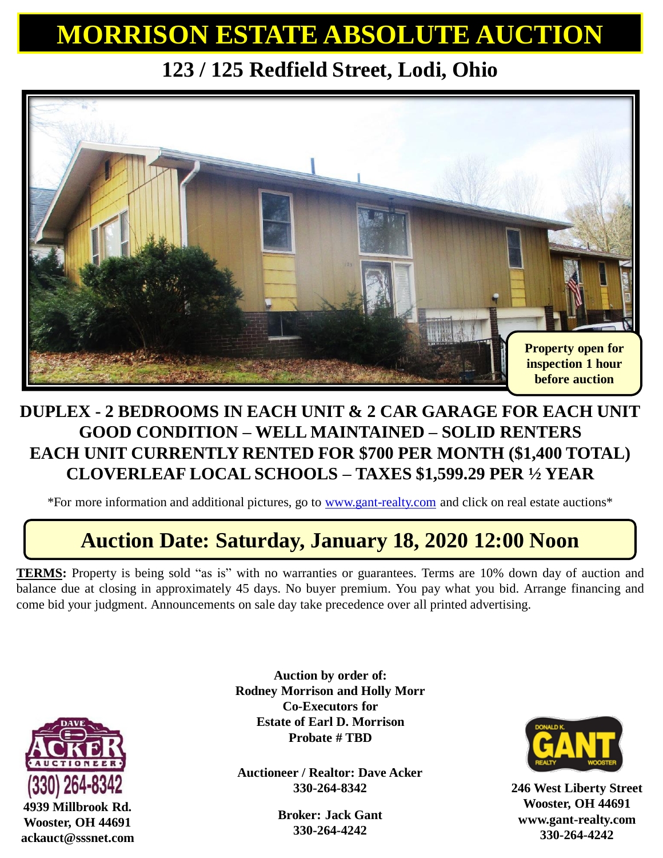## **MORRISON ESTATE ABSOLUTE AUCTION**

**123 / 125 Redfield Street, Lodi, Ohio**



#### **DUPLEX - 2 BEDROOMS IN EACH UNIT & 2 CAR GARAGE FOR EACH UNIT GOOD CONDITION – WELL MAINTAINED – SOLID RENTERS EACH UNIT CURRENTLY RENTED FOR \$700 PER MONTH (\$1,400 TOTAL) CLOVERLEAF LOCAL SCHOOLS – TAXES \$1,599.29 PER ½ YEAR**

\*For more information and additional pictures, go to [www.gant-realty.com](http://www.gant-realty.com/) and click on real estate auctions\*

### **Auction Date: Saturday, January 18, 2020 12:00 Noon**

**TERMS:** Property is being sold "as is" with no warranties or guarantees. Terms are 10% down day of auction and balance due at closing in approximately 45 days. No buyer premium. You pay what you bid. Arrange financing and come bid your judgment. Announcements on sale day take precedence over all printed advertising.



**Wooster, OH 44691 ackauct@sssnet.com**

**Auction by order of: Rodney Morrison and Holly Morr Co-Executors for Estate of Earl D. Morrison Probate # TBD**

**Auctioneer / Realtor: Dave Acker 330-264-8342**

> **Broker: Jack Gant 330-264-4242**



**246 West Liberty Street Wooster, OH 44691 www.gant-realty.com 330-264-4242**